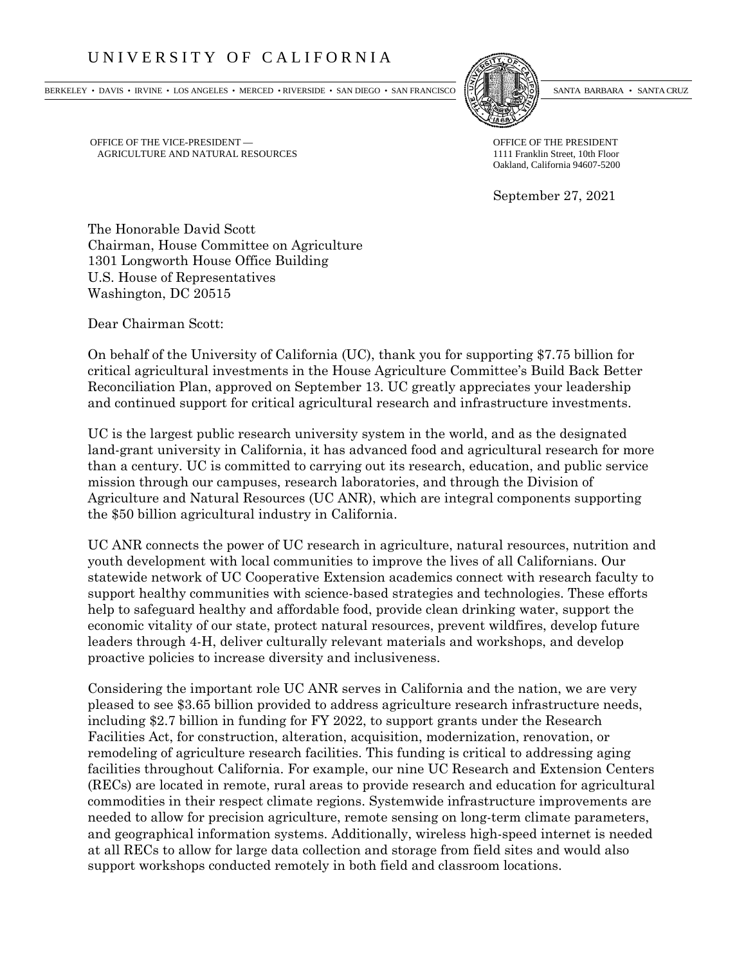## UNIVERSITY OF CALIFORNIA

BERKELEY • DAVIS • IRVINE • LOS ANGELES • MERCED • RIVERSIDE • SAN DIEGO • SAN FRANCISCO SANTA BARBARA • SANTA CRUZ



OFFICE OF THE VICE-PRESIDENT — OFFICE OF THE PRESIDENT — OFFICE OF THE PRESIDENT AGRICULTURE AND NATURAL RESOURCES AGRICULTURE AND NATURAL RESOURCES

Oakland, California 94607-5200

September 27, 2021

The Honorable David Scott Chairman, House Committee on Agriculture 1301 Longworth House Office Building U.S. House of Representatives Washington, DC 20515

Dear Chairman Scott:

On behalf of the University of California (UC), thank you for supporting \$7.75 billion for critical agricultural investments in the House Agriculture Committee's Build Back Better Reconciliation Plan, approved on September 13. UC greatly appreciates your leadership and continued support for critical agricultural research and infrastructure investments.

UC is the largest public research university system in the world, and as the designated land-grant university in California, it has advanced food and agricultural research for more than a century. UC is committed to carrying out its research, education, and public service mission through our campuses, research laboratories, and through the Division of Agriculture and Natural Resources (UC ANR), which are integral components supporting the \$50 billion agricultural industry in California.

UC ANR connects the power of UC research in agriculture, natural resources, nutrition and youth development with local communities to improve the lives of all Californians. Our statewide network of UC Cooperative Extension academics connect with research faculty to support healthy communities with science-based strategies and technologies. These efforts help to safeguard healthy and affordable food, provide clean drinking water, support the economic vitality of our state, protect natural resources, prevent wildfires, develop future leaders through 4-H, deliver culturally relevant materials and workshops, and develop proactive policies to increase diversity and inclusiveness.

Considering the important role UC ANR serves in California and the nation, we are very pleased to see \$3.65 billion provided to address agriculture research infrastructure needs, including \$2.7 billion in funding for FY 2022, to support grants under the Research Facilities Act, for construction, alteration, acquisition, modernization, renovation, or remodeling of agriculture research facilities. This funding is critical to addressing aging facilities throughout California. For example, our nine UC Research and Extension Centers (RECs) are located in remote, rural areas to provide research and education for agricultural commodities in their respect climate regions. Systemwide infrastructure improvements are needed to allow for precision agriculture, remote sensing on long-term climate parameters, and geographical information systems. Additionally, wireless high-speed internet is needed at all RECs to allow for large data collection and storage from field sites and would also support workshops conducted remotely in both field and classroom locations.